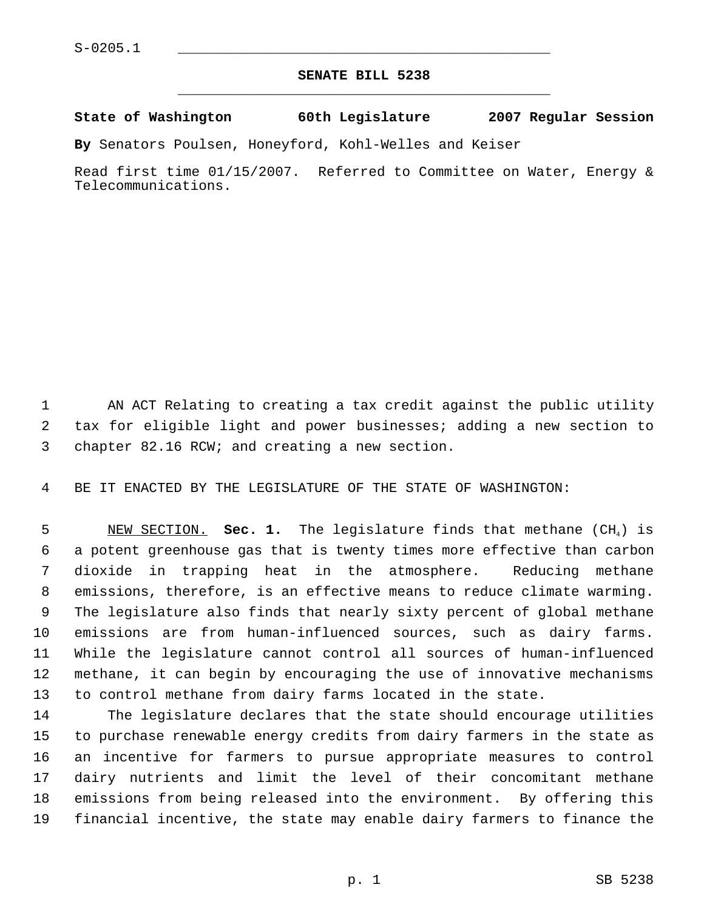## **SENATE BILL 5238** \_\_\_\_\_\_\_\_\_\_\_\_\_\_\_\_\_\_\_\_\_\_\_\_\_\_\_\_\_\_\_\_\_\_\_\_\_\_\_\_\_\_\_\_\_

**State of Washington 60th Legislature 2007 Regular Session**

**By** Senators Poulsen, Honeyford, Kohl-Welles and Keiser

Read first time 01/15/2007. Referred to Committee on Water, Energy & Telecommunications.

 AN ACT Relating to creating a tax credit against the public utility tax for eligible light and power businesses; adding a new section to chapter 82.16 RCW; and creating a new section.

BE IT ENACTED BY THE LEGISLATURE OF THE STATE OF WASHINGTON:

5 NEW SECTION. **Sec. 1.** The legislature finds that methane (CH<sub>4</sub>) is a potent greenhouse gas that is twenty times more effective than carbon dioxide in trapping heat in the atmosphere. Reducing methane emissions, therefore, is an effective means to reduce climate warming. The legislature also finds that nearly sixty percent of global methane emissions are from human-influenced sources, such as dairy farms. While the legislature cannot control all sources of human-influenced methane, it can begin by encouraging the use of innovative mechanisms to control methane from dairy farms located in the state.

 The legislature declares that the state should encourage utilities to purchase renewable energy credits from dairy farmers in the state as an incentive for farmers to pursue appropriate measures to control dairy nutrients and limit the level of their concomitant methane emissions from being released into the environment. By offering this financial incentive, the state may enable dairy farmers to finance the